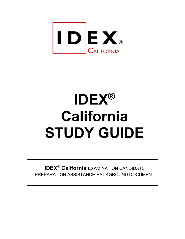

# **IDEX® California STUDY GUIDE**

**IDEX® California** EXAMINATION CANDIDATE PREPARATION ASSISTANCE BACKGROUND DOCUMENT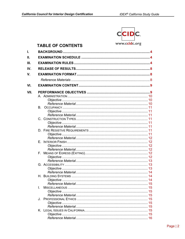$\mathbf{L}$ 

II. Ш.

IV.

V.

 $VI$ 

|  | Ē |
|--|---|
|  |   |

www.ccidc.org **TABLE OF CONTENTS** VII. L.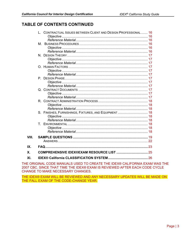# **TABLE OF CONTENTS CONTINUED**

|       |    | CONTRACTUAL ISSUES BETWEEN CLIENT AND DESIGN PROFESSIONAL 16 | 16 |
|-------|----|--------------------------------------------------------------|----|
|       |    |                                                              |    |
|       | М. |                                                              |    |
|       |    |                                                              |    |
|       |    |                                                              |    |
|       |    |                                                              |    |
|       |    |                                                              |    |
|       |    |                                                              |    |
|       |    |                                                              |    |
|       |    |                                                              |    |
|       |    |                                                              |    |
|       |    |                                                              |    |
|       |    |                                                              |    |
|       |    |                                                              |    |
|       |    |                                                              |    |
|       |    |                                                              |    |
|       |    |                                                              |    |
|       |    |                                                              |    |
|       |    |                                                              |    |
|       |    |                                                              |    |
|       |    |                                                              |    |
|       |    |                                                              |    |
|       |    |                                                              |    |
|       | T. |                                                              |    |
|       |    |                                                              |    |
|       |    |                                                              |    |
| VIII. |    |                                                              | 19 |
|       |    |                                                              |    |
| IX.   |    |                                                              |    |
| Χ.    |    | COMPREHENSIVE IDEX®EXAM RESOURCE LIST  25                    |    |
|       |    |                                                              |    |
| XI.   |    |                                                              |    |

THE ORIGINAL CODE MANUALS USED TO CREATE THE IDEX® CALIFORNIA EXAM WAS THE 2007 CBC. SINCE THAT TIME THE IDEX® EXAM IS REVIEWED AFTER EACH CODE CYCLE CHANGE TO MAKE NECESSARY CHANGES.

THE IDEX® EXAM WILL BE REVIEWED AND ANY NECESSARY UPDATES WILL BE MADE ON THE FALL EXAM OF THE CODE-CHANGE YEAR.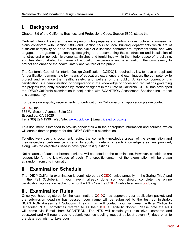# **I. Background**

Chapter 3.9 of the California Business and Professions Code, Section 5800, states that:

Certified Interior Designer: means a person who prepares and submits nonstructural or nonseismic plans consistent with Section 5805 and Section 5538 to local building departments which are of sufficient complexity so as to require the skills of a licensed contractor to implement them, and who engages in programming, planning, designing, and documenting the construction and installation of nonstructural or nonseismic elements, finishes and furnishings within the interior space of a building, and has demonstrated by means of education, experience and examination, the competency to protect and enhance the health, safety and welfare of the public.

The California Council for Interior Design Certification (CCIDC) is required by law to have an applicant for certification demonstrate by means of education, experience and examination, the competency to protect and enhance the health, safety, and welfare of the public. A key component of this certification is a demonstration of competency in the knowledge of codes and regulations governing the projects frequently produced by interior designers in the State of California. CCIDC has developed the IDEX® California examination in conjunction with SCANTRON Assessment Solutions Inc., to test this competency.

For details on eligibility requirements for certification in California or an application please contact:

CCIDC, Inc. 365 W. Second Avenue, Suite 221 Escondido, CA 92025 Tel: (760) 294-1936 | Web Site: www.ccidc.org | Email: idex@ccidc.org

This document is intended to provide candidates with the appropriate information and sources, which will enable them to prepare for the IDEX<sup>®</sup> California examination.

To effectively use this document, review the contents (knowledge areas) of the examination and their respective performance criteria. In addition, details of each knowledge area are provided, along with the objectives used in developing test questions.

Not all areas of each performance criteria will be tested on the examination. However, candidates are responsible for the knowledge of such. The specific content of the examination will be drawn at random from this information.

# **II. Examination Schedule**

The IDEX<sup>®</sup> California examination is administered by CCIDC, twice annually, in the Spring (May) and in the Fall (October). If you haven't already done so, you should complete the online certification application packet to sit for the IDEX® on the CCIDC web site at www.ccidc.org.

# **III. Examination Rules**

Once you have registered for the examination, CCIDC has approved your application packet, and the submission deadline has passed, your name will be submitted to the test administrator, SCANTRON Assessment Solutions. They in turn will contact you via E-mail, with a "Notice to Schedule" (NTS), sometimes referred to as the "CCIDC Eligibility Notice". Please note the NTS will come via E-mail from SCANTRON. The NTS will contain your exclusive username and password and will require you to submit your scheduling request at least seven (7) days prior to the date you wish to take your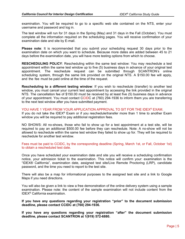examination. You will be required to go to a specific web site contained on the NTS, enter your username and password and log in.

The test window will run for 31 days in the Spring (May) and 31 days in the Fall (October). You must complete all the information required on the scheduling pages. You will receive confirmation of your examination date and site by E-mail.

**Please note**: It is recommended that you submit your scheduling request 30 days prior to the examination date on which you want to schedule. Because more dates are added between 45 to 21 days before the examination date, you will have more testing options from which to choose.

**RESCHEDULING POLICY**: Rescheduling within the same test window: You may reschedule a test appointment within the same test window up to five (5) business days in advance of your original test appointment. The reschedule request can be submitted through SCANTRON's online scheduling system, through the same link provided on the original NTS. A \$150.00 fee will apply, and the fee must be paid online at the time of the request.

**Rescheduling to a different testing window**: If you wish to reschedule (transfer) to another test window, you must cancel your current test appointment by accessing the link provided in the original NTS. The cancellation fee of \$150.00 must be received by at least five (5) business days in advance of your appointment. You must contact CCIDC at (760) 294-1936 to inform them you are transferring to the next test window after you have submitted payment.

#### YOU HAVE 1 YEAR FROM YOUR APPLICATION APPROVAL TO SIT FOR THE IDEX<sup>®</sup> EXAM.

If you do not take the IDEX® Exam or if you reschedule/transfer more than 1 time to another Exam window you will be required to pay additional registration fees.

NO SHOWS: All no-shows, those who fail to show up for a test appointment at a test site, will be required to pay an additional \$500.00 fee before they can reschedule. Note: A no-show will not be allowed to reschedule within the same test window they failed to show up for. They will be required to reschedule for another test window.

Fees must be paid to CCIDC, by the corresponding deadline (Spring, March 1st, or Fall, October 1st) to obtain a rescheduled test date.

Once you have scheduled your examination date and site you will receive a scheduling confirmation notice, your admission ticket to the examination. This notice will confirm your: examination is the "IDEX® California", examination date, assigned test site/Live Remote Proctoring (LRP), candidate password, and the time you need to report to the test site.

There will also be a map for informational purposes to the assigned test site and a link to Google Maps if you need directions.

You will also be given a link to view a free demonstration of the online delivery system using a sample examination. Please note: the content of the sample examination will not include content from the IDEX® California examination.

#### **If you have any questions regarding your registration "prior" to the document submission deadline, please contact CCIDC at (760) 294-1936.**

**If you have any questions regarding your registration "after" the document submission deadline, please contact SCANTRON at 1(919) 572-6880.**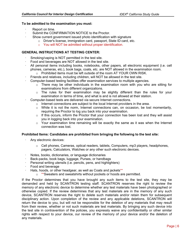#### **To be admitted to the examination you must:**

- Report on time.
- Submit the CONFIRMATION NOTICE to the Proctor.
- Show current government issued photo identification with signature
	- o Driver's license, immigration card, passport, State ID card, etc.
	- o You will NOT be admitted without proper identification.

#### **GENERAL INSTRUCTIONS AT TESTING CENTER:**

- Smoking/vaping is NOT permitted in the test site.
- ꞏ Food and beverages are NOT allowed in the test site.
- All personal items including books, notebooks, other papers, all electronic equipment (i.e. cell phones, cameras, etc.), book bags, coats, etc. are NOT allowed in the examination room.
	- o Prohibited items must be left outside of the room AT YOUR OWN RISK.
- ꞏ Friends and relatives, including children, will NOT be allowed in the test site.
- ꞏ Computer-based testing facilities offer examination services to multiple agencies.
	- o There may be other individuals in the examination room with you who are sitting for examinations from different organizations.
	- o The rules for their examination may be slightly different than the rules for your examination in terms of time, and what is and is not allowed at their station.
- ꞏ Computer-based tests are delivered via secure Internet connections.
	- $\circ$  Internet connections are subject to the local Internet providers in the area.
	- $\circ$  While it is not the norm, Internet connections can, on occasion, be lost momentarily, requiring the Proctor to log you back into your examination.
	- o If this occurs, inform the Proctor that your connection has been lost and they will assist you in logging back into your examination.
	- o Your examination time remaining will be exactly the same as it was when the Internet connection was lost.

#### **Prohibited Items: Candidates are prohibited from bringing the following to the test site:**

- Any electronic devices:
	- $\circ$  Cell phones, Cameras, optical readers, tablets, Computers, mp3 players, headphones, pagers, Calculators, Watches or any other such electronic devices.
- Notes, books, dictionaries, or language dictionaries
- ꞏ Back-packs, book bags, luggage, Purses, or handbags
- Personal writing utensils (i.e. pencils, pens, and highlighters)
- ꞏ Food and beverage
- Hats, hoods, or other headgear, as well as Coats and jackets\*\*
	- o \*\*Sweaters and sweatshirts without pockets or hoods are permitted.

If the Proctor determines that you have brought any such items to the test site, they may be demanded and held by SCANTRON testing staff. SCANTRON reserves the right to review the memory of any electronic device to determine whether any test materials have been photographed or otherwise copied. If the review determines that any test materials are in the memory of any such device, SCANTRON reserves the right to delete such materials and/or retain them for subsequent disciplinary action. Upon completion of the review and any applicable deletions, SCANTRON will return the device to you, but will not be responsible for the deletion of any materials that may result from their review, whether or not such materials are test materials. By bringing any such device into the test site in contravention of the policies, you expressly waive any confidentiality or other similar rights with respect to your device, our review of the memory of your device and/or the deletion of any materials.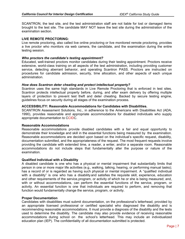SCANTRON, the test site, and the test administration staff are not liable for lost or damaged items brought to the test site. The candidate MAY NOT leave the test site during the administration of the examination section.

#### **LIVE REMOTE PROCTORING:**

Live remote proctoring, also called live online proctoring or live monitored remote proctoring, provides a live proctor who monitors via web camera, the candidate, and the examination during the entire testing session.

#### *Who proctors the candidate's testing appointment?*

Educated, well-trained proctors monitor candidates during their testing appointment. Proctors receive extensive, world-class training on all aspects of the test administration, including providing customer service, detecting aberrant behavior, and operating Scantron PASS. Proctors are instructed on procedures for candidate admission, security, time allocation, and other aspects of each unique administration.

#### *How does Scantron deter cheating and protect intellectual property?*

Scantron uses the same high standards in Live Remote Proctoring that is enforced in test sites. Scantron protects intellectual property before, during, and after exam delivery by offering multiple layers of protection to prevent test theft and deter cheating. Backed by secure testing engine, guidelines focus on security during all stages of the examination process.

#### **ACCESSIBILITY: Reasonable Accommodations for Candidates with Disabilities.**

SCANTRON Assessment Solutions, Inc., in adherence to the Americans with Disabilities Act (ADA, 1990), provides reasonable and appropriate accommodations for disabled individuals who supply appropriate documentation to CCIDC.

#### **Reasonable Accommodations**

Reasonable accommodations provide disabled candidates with a fair and equal opportunity to demonstrate their knowledge and skill in the essential functions being measured by the examination. Reasonable accommodations are decided upon based on the individual's specific request, disability, documentation submitted, and the appropriateness of the request. The most frequent requests involve providing the candidate with extended time, a reader, a writer, and/or a separate room. Reasonable accommodations do not include steps that fundamentally alter the purpose or nature of the examination.

#### **Qualified Individual with a Disability**

A disabled candidate is one who has a physical or mental impairment that substantially limits that person in one or more major life activities (e.g., walking, talking, hearing, or performing manual tasks); has a record of or is regarded as having such physical or mental impairment. A "qualified individual with a disability" is one who has a disability and satisfies the requisite skill, experience, education and other requirements of the service, program, or activity of which he or she is being measured; and, with or without accommodations, can perform the essential functions of the service, program, or activity. An essential function is one that individuals are required to perform, and removing that function would fundamentally change the service, program, or activity.

#### **Proper Documentation**

Candidates with disabilities must submit documentation, on the professional's letterhead, provided by an appropriate licensed professional or certified specialist who diagnosed the disability and is recommending reasonable accommodations. It must provide a diagnosis of the disability and the tests used to determine the disability. The candidate may also provide evidence of receiving reasonable accommodations during school on the school's letterhead. This may include an individualized education plan (IEP). The confidentiality of all documentation submitted is protected.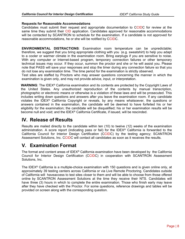#### **Requests for Reasonable Accommodations**

Candidates must submit their request and appropriate documentation to CCIDC for review at the same time they submit their CID application. Candidates approved for reasonable accommodations will be contacted by SCANTRON to schedule for the examination. If a candidate is not approved for reasonable accommodations, he or she will be notified by CCIDC.

**ENVIRONMENTAL DISTRACTIONS**: Examination room temperature can be unpredictable; therefore, we suggest that you bring appropriate clothing with you (e.g. sweatshirt) to help you adapt to a cooler or warmer climate in the examination room. Bring earplugs if you are sensitive to noise. With any computer or Internet-based program, temporary connection failures or other temporary technical issues may occur. If they occur, summon the proctor and she or he will assist you. Please note that PASS will save your responses and stop the timer during any connection failure so that you do not lose any examination time. The time period for the examination is strictly observed.

Test sites are staffed by Proctors who may answer questions concerning the manner in which the examination is given only, and may not provide advice, input, or interpretation.

**WARNING**: The IDEX® California examination and its contents are protected by the Copyright Laws of the United States. Any unauthorized reproduction of the contents by manual transcription, photographic or electronic means or otherwise is a violation of these laws and will be prosecuted. This includes writing down questions and answers after you leave the examination room. If any candidate violates the IDEX<sup>®</sup> California Copyright or reveals, by any means whatsoever, the questions or answers contained in the examination, the candidate will be deemed to have forfeited his or her eligibility for the examination; the candidate will be disqualified; his or her examination results will be become null and void; and the IDEX® California Certificate, if issued, will be rescinded.

# **IV. Release of Results**

Results are mailed directly to the candidate within ten (10) to twelve (12) weeks of the examination administration. A score report (indicating pass or fail) for the IDEX<sup>®</sup> California is forwarded to the California Council for Interior Design Certification (CCIDC) by the testing agency; SCANTRON Assessment Solutions, Inc. CCIDC will contact all candidates as soon as it receives the results.

# **V. Examination Format**

The format and content areas of IDEX® California examination have been developed by the California Council for Interior Design Certification (CCIDC) in cooperation with SCANTRON Assessment Solutions, Inc.

The IDEX<sup>®</sup> California is a multiple-choice examination with 150 questions and is given online only, at approximately 39 testing centers across California or via Live Remote Proctoring. Candidates outside of California will have access to test sites closer to them and will be able to choose from those offered online by SCANTRON Assessment Solutions at the time they receive their NTS. Candidates will have three (3) hours in which to complete the entire examination. Those who finish early may leave after they have checked with the Proctor. For some questions, reference drawings and tables will be provided on screen along with the corresponding question.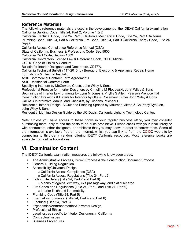### **Reference Materials**

The following reference materials are used in the development of the IDEX® California examination: California Building Code, Title 24, Part 2, Volume 1 & 2

California Electrical Code, Title 24, Part 3 California Mechanical Code, Title 24, Part 4 California Plumbing Code, Title 24, Part 5 California Fire Code, Title 24, Part 9 California Energy Code, Title 24, Part 6

California Access Compliance Reference Manual (DSA)

State of California, Business & Professions Code, Sec 5800

California Civil Code, Section 1689

California Contractors License Law & Reference Book, CSLB, Michie

CCIDC Code of Ethics & Conduct

Bulletin for Interior Designers and Decorators, CDTFA.

California Technical Bulletin 117-2013, by Bureau of Electronic & Appliance Repair, Home Furnishings & Thermal Insulation

ASID Commercial Contract Form Agreements

ASID Residential Contract Form

Specifying Interiors by McGowan, Cruse, John Wiley & Sons

Professional Practice for Interior Designers by Christine M Piotrowski, John Wiley & Sons Beginnings of Interior Environments by Lynn M Jones & Phyllis S Allen, Pearson Prentice Hall Construction Drawings & Details for Interiors by Otie & Rosemary Kilmer John Wiley & Sons CalDAG Interpretive Manual and Checklist, by Gibbens, Michael P.

Residential Interior Design, A Guide to Planning Spaces by Maureen Mitton & Courtney Nystuen, John Wiley & Sons

Residential Lighting Design Guide by the UC Davis, California Lighting Technology Center.

Note: Unless you have access to these books in your regular business office, you may consider purchasing them, only to find the costs to be quite prohibitive. Please check with your local library, or with contractors, other designers, or architects that you may know in order to borrow them. Some of the information is available free on the Internet, which you can link to from the CCIDC web site by connecting to third-party vendors offering IDEX® California resources. Most reference books are available from online bookstores.

# **VI. Examination Content**

The IDEX® California examination measures the following knowledge areas:

- The Administrative Process, Permit Process & the Construction Document Process.
- **General Building Regulation.**
- **Accessibility/Universal Design** 
	- o California Access Compliance (DSA)
	- o California Access Regulations (Title 24, Part 2)
- **Exiting/Life Safety (Title 24, Part 2 and Part 9)**
- o Means of egress, exit way, exit passageway, and exit discharge.
- Fire Codes and Regulations (Title 24, Part 2 and Title 24, Part 9)
	- o Interior finish and flammability.
- Plumbing Code (Title 24, Part 5)
- Energy/Environmental (Title 24, Part 4 and Part 6)<br>■ Electrical (Title 24 Part 3)
- Electrical (Title 24, Part 3)
- **Ergonomics/Anthropometrics/Universal Design**
- Professional Ethics
- Legal issues specific to Interior Designers in California
- **Contractual issues**
- **Business Procedures**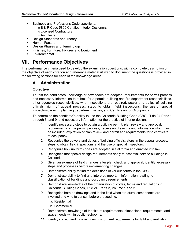- **Business and Professions Code specific to:** 
	- o B & P Code 5800 Certified Interior Designers
	- o Licensed Contractors
	- o Architects
- **Design Standards and Theory**
- **-** Human Factors
- **•** Design Phases and Terminology
- **Finishes, Furniture, Fixtures and Equipment**
- **Environmental**

# **VII. Performance Objectives**

The performance criteria used to develop the examination questions; with a complete description of the objective of each criterion and reference material utilized to document the questions is provided in the following sections for each of the knowledge areas.

# **A. Administration**

#### **Objective**

To test the candidates knowledge of how codes are adopted, requirements for permit process and necessary information to submit for a permit, building and fire department responsibilities, other agencies responsibilities, when inspections are required, power and duties of building officials, right of appeal process, steps to obtain field inspections, the use of special inspectors, zoning, planning department issues, and Certificates of Occupancy.

To determine the candidate's ability to use the California Building Code (CBC), Title 24, Parts 1 through 6, and 9, and necessary information for the practice of interior design.

- 1. Identify necessary steps to obtain a building permit, plan review and approval, requirements of the permit process, necessary drawings and information whichmust be included, expiration of plan review and permit and requirements for a certificate of occupancy.
- 2. Recognize the powers and duties of building officials, steps in the appeal process, steps to obtain field inspections and the use of special inspectors.
- 3. Recognize how uniform codes are adopted in California and enacted into law.
- 4. Recognize that special design requirements apply to essential service buildings in California.
- 5. Given an example of field changes after plan check and approval, identifynecessary steps and processes before implementing changes.
- 6. Demonstrate ability to find the definitions of various terms in the CBC.
- 7. Demonstrate ability to find and interpret important information relating to classification of buildings and occupancy requirements.
- 8. Demonstrate knowledge of the organization of codes, terms and regulations in California Building Codes, Title 24, Parts 2, Volume 1 and 2.
- 9. Recognize both on drawings and in the field when structural components are involved and who to consult before proceeding.
	- a. Residential
	- b. Commercial
- 10. Demonstrate knowledge of the fixture requirements, dimensional requirements, and space needs within public restrooms.
- 11. Identify correct and incorrect designs to meet requirements for light and ventilation.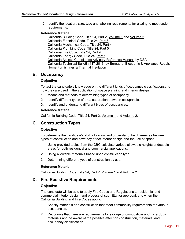12. Identify the location, size, type and labeling requirements for glazing to meet code requirements.

#### **Reference Material**

California Building Code, Title 24, Part 2, Volume 1 and Volume 2 California Electrical Code, Title 24, Part 3 California Mechanical Code, Title 24, Part 4 California Plumbing Code, Title 24, Part 5 California Fire Code, Title 24, Part 9 California Energy Code, Title 24, Part 6 California Access Compliance Advisory Reference Manual, by DSA California Technical Bulletin 117-2013, by Bureau of Electronic & Appliance Repair, Home Furnishings & Thermal Insulation

## **B. Occupancy**

#### **Objective**

To test the candidate's knowledge on the different kinds of occupancy classifications and how they are used in the application of space planning and interior design.

- 1. Means and methods of determining types of occupancy.
- 2. Identify different types of area separation between occupancies.
- 3. Identify and understand different types of occupancies.

#### **Reference Material**

California Building Code, Title 24, Part 2, Volume 1 and Volume 2.

# **C. Construction Types**

#### **Objective**

To determine the candidate's ability to know and understand the differences between types of construction and how they affect interior design and the use of space.

- 1. Using provided tables from the CBC calculate various allowable heights and usable areas for both residential and commercial applications.
- 2. Using allowable materials based upon construction type.
- 3. Determining different types of construction by use.

#### **Reference Material**

California Building Code, Title 24, Part 2, Volume 1 and Volume 2.

#### **D. Fire Resistive Requirements**

#### **Objective**

The candidate will be able to apply Fire Codes and Regulations to residential and commercial interior design, and process of submittal for approval, and when the California Building and Fire Codes apply.

- 1. Specify materials and construction that meet flammability requirements for various occupancies.
- 2. Recognize that there are requirements for storage of combustible and hazardous materials and be aware of the possible effect on construction, materials, and occupancy classification.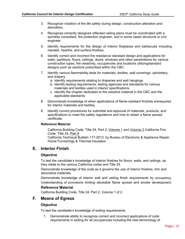- 3. Recognize violation of fire life safety during design, construction alteration and demolition.
- 4. Recognize correctly designed reflected ceiling plans must be coordinated with a sprinkler consultant, fire protection engineer, and in some cases structural or civil engineer.
- 5. Identify requirements for the design of interior fireplaces and barbecues including mantels, hearths, and surface finishes.
- 6. Identify correct and incorrect fire resistance standard design and applications for walls, partitions, floors, ceilings, doors, windows and other penetrations for various construction types, fire resistivity, occupancies and locations utilizing standard designs such as sections prescribed within the CBC.
- 7. Identify various flammability tests for materials, textiles, wall coverings, upholstery, and drapery.
	- a. Identify requirements relating to draperies and wall hangings.
	- b. Identify testing requirements, testing agencies and standards for various materials and textiles used in interior specifications.
	- c. Identify the chapter dedicated to fire resistive material in the CBC and the applicable standards.
- 8. Demonstrate knowledge of when applications of flame-resistant finishes are required for interior materials and textiles.
- 9. Identify correct procedures for submittal and approval of materials, products, and specifications to meet fire safety regulations and how to obtain a flame spread certificate.

#### **Reference Material**

California Building Code, Title 24, Part 2, Volume 1 and Volume 2. California Fire Code, Title 24, Part 9

California Technical Bulletin 117-2013, by Bureau of Electronic & Appliance Repair, Home Furnishings & Thermal Insulation

#### **E. Interior Finish**

#### **Objective**

To test the candidate's knowledge of interior finishes for floors, walls, and ceilings, as they relate to the various California codes and Title 24.

Demonstrate knowledge of the code as it governs the use of interior finishes, trim and decorative materials.

Demonstrate knowledge of interior wall and ceiling finish requirements by occupancy. Understanding of provisions limiting allowable flame spread and smoke development.

#### **Reference Material**

California Building Code, Title 24, Part 2, Volume 1 of 2.

#### **F. Means of Egress**

#### **Objective**

To test the candidate's knowledge of exiting requirements.

1. Demonstrate ability to recognize correct and incorrect applications of code requirements in exiting for all occupancies including the new terminology of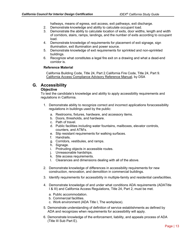hallways, means of egress, exit access, exit pathways, exit discharge.

- 2. Demonstrate knowledge and ability to calculate occupant load.
- 3. Demonstrate the ability to calculate location of exits, door widths, length and width of corridors, stairs, ramps, landings, and the number of exits according to occupant load.
- 4. Demonstrate knowledge of requirements for placement of exit signage, sign illumination, exit illumination and power source.
- 5. Demonstrate knowledge of exit requirements for sprinkled and non-sprinkled buildings.
- 6. Recognize what constitutes a legal fire exit on a drawing and what a dead-end corridor is.

#### **Reference Material**

California Building Code, Title 24, Part 2. California Fire Code, Title 24, Part 9. California Access Compliance Advisory Reference Manual, by DSA

#### **G. Accessibility**

#### **Objective**

To test the candidate's knowledge and ability to apply accessibility requirements and regulations in California.

- 1. Demonstrate ability to recognize correct and incorrect applications for accessibility regulations in buildings used by the public:
	- a. Restrooms, fixtures, hardware, and accessory items.
	- b. Doors, thresholds, and hardware.
	- c. Path of travel.
	- d. Public facilities including water fountains, mailboxes, elevator controls, counters, and ATM's.
	- e. Slip resistant requirements for walking surfaces.
	- f. Handrails.
	- g. Corridors, vestibules, and ramps.
	- h. Signage.
	- i. Protruding objects in accessible routes.
	- j. Unreasonable hardships.
	- k. Site access requirements.
	- l. Clearances and dimensions dealing with all of the above.
- 2. Demonstrate knowledge of differences in accessibility requirements for new construction, renovation, and demolition in commercial buildings.
- 3. Identify requirements for accessibility in multiple-family and residential carefacilities.
- 4. Demonstrate knowledge of and under what conditions ADA requirements (ADATitle I & III) and California Access Regulations, Title 24, Part 2, must be met.
	- a. Public accommodation.
	- b. Commercial facilities.
	- c. Work environment (ADA Title I, The workplace).
- 5. Demonstrate understanding of definition of service establishments as defined by ADA and recognizes when requirements for accessibility will apply.
- 6. Demonstrate knowledge of the enforcement, liability, and appeals process of ADA (Title III Sub Part E).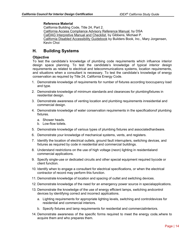#### **Reference Material**

California Building Code, Title 24, Part 2. California Access Compliance Advisory Reference Manual, by DSA CalDAG Interpretive Manual and Checklist, by Gibbens, Michael P. California Disabled Accessibility Guidebook by Builders Book, Inc., Mary Jorgensen, Kevin Choi

# **H. Building Systems**

#### **Objective**

To test the candidate's knowledge of plumbing code requirements which influence interior design space planning. To test the candidate's knowledge of typical interior design requirements as related to electrical and telecommunications systems, location requirements, and situations when a consultant is necessary. To test the candidate's knowledge of energy conservation as required by Title 24, California Energy Code.

- 1. Demonstrate knowledge of requirements for number of fixtures according to occupancy load and type.
- 2. Demonstrate knowledge of minimum standards and clearances for plumbing fixtures in residential design.
- 3. Demonstrate awareness of venting location and plumbing requirements in residential and commercial design.
- 4. Demonstrate knowledge of water conservation requirements in the specification of plumbing fixtures.
	- a. Shower heads.
	- b. Low-flow toilets.
- 5. Demonstrate knowledge of various types of plumbing fixtures and associated hardware.
- 6. Demonstrate your knowledge of mechanical systems, vents, and registers.
- 7. Identify the location of electrical outlets, ground fault interrupters, switching devices, and fixtures as required by code in residential and commercial buildings.
- 8. Understand restrictions on the use of high voltage (neon) lighting in residential and commercial applications.
- 9. Specify single-use or dedicated circuits and other special equipment required by code or client function.
- 10. Identify when to engage a consultant for electrical specifications, or when the electrical contractor of record may perform this function.
- 11. Demonstrate knowledge of location and spacing of outlet and switching devices.
- 12. Demonstrate knowledge of the need for an emergency power source in special applications.
- 13. Demonstrate the knowledge of the use of energy efficient lamps, switching and control devices by identifying correct and incorrect applications.
	- a. Lighting requirements for appropriate lighting levels, switching and controldevices for residential and commercial interiors.
	- b. Specify fixtures and lamp requirements for residential and commercial interiors.
- 14. Demonstrate awareness of the specific forms required to meet the energy code, where to acquire them and who prepares them.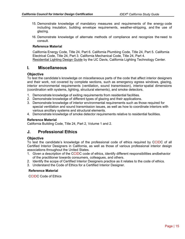- 15. Demonstrate knowledge of mandatory measures and requirements of the energy code including insulation, building envelope requirements, weather-stripping, and the use of glazing.
- 16. Demonstrate knowledge of alternate methods of compliance and recognize the need to consult.

#### **Reference Material**

California Energy Code, Title 24, Part 6. California Plumbing Code, Title 24, Part 5. California Electrical Code, Title 24, Part 3. California Mechanical Code, Title 24, Part 4. Residential Lighting Design Guide by the UC Davis, California Lighting Technology Center.

#### **I. Miscellaneous**

#### **Objective**

To test the candidate's knowledge on miscellaneous parts of the code that affect interior designers and their work, not covered by complete sections, such as emergency egress windows, glazing, interior environmental requirements (ventilation, sound transmission), interior spatial dimensions (coordination with systems, lighting, structural elements), and smoke detectors.

- 1. Demonstrate knowledge of exiting requirements from residential facilities.
- 2. Demonstrate knowledge of different types of glazing and their applications.
- 3. Demonstrate knowledge of interior environmental requirements such as those required for special ventilation and sound transmission issues, as well as how to coordinate interiors with various ancillary systems and structural elements.
- 4. Demonstrate knowledge of smoke detector requirements relative to residential facilities.

#### **Reference Material**

California Building Code, Title 24, Part 2, Volume 1 and 2.

#### **J. Professional Ethics**

#### **Objective**

To test the candidate's knowledge of the professional code of ethics required by CCIDC of all Certified Interior Designers in California, as well as those of various professional interior design associations throughout the United States.

- 1. Given a description of the CCIDC code of ethics, identify different responsibilities and behavior of the practitioner towards consumers, colleagues, and others.
- 2. Identify the scope of Certified Interior Designers practice as it relates to the code of ethics.
- 3. Understand the Code of Ethics for a Certified Interior Designer.

#### **Reference Material**

CCIDC Code of Ethics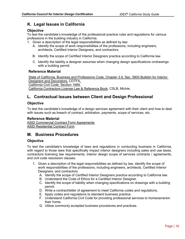# **K. Legal Issues in California**

#### **Objective**

To test the candidate's knowledge of the professional practice rules and regulations for various professions in the building industry in California.

- 1. Given a description of the legal responsibilities as defined by law:
	- A. Identify the scope of work responsibilities of the professions, including engineers, architects, Certified Interior Designers, and contractors.
	- B. Identify the scope of Certified Interior Designers practice according to California law.
	- C. Identify the liability a designer assumes when changing design specifications on drawings with a building permit.

#### **Reference Material**

State of California, Business and Professions Code, Chapter 3.9, Sec. 5800. Bulletin for Interior Designers and Decorators, CDTFA. California Civil Code, Section 1689. California Contractors License Law & Reference Book, CSLB, Michie.

# **L. Contractual Issues between Client and Design Professional**

#### **Objective**

To test the candidate's knowledge of a design services agreement with their client and how to deal with issues such as breach of contract, arbitration, payments, scope of services, etc.

#### **Reference Material**

ASID Commercial Contract Form Agreements ASID Residential Contract Form

# **M. Business Procedures**

#### **Objective**

To test the candidate's knowledge of laws and regulations in conducting business in California, with regard to those laws that specifically impact interior designers including sales and use taxes, contractors licensing law requirements, interior design scope of services contracts / agreements, and civil code rescission clauses.

- 1. Given a description of the legal responsibilities as defined by law, identify the scope of work responsibilities of the professions, including engineers, architects, Certified Interior Designers, and contractors.
	- A. Identify the scope of Certified Interior Designers practice according to California law.
	- B. Understand the Code of Ethics for a Certified Interior Designer.
	- C. Identify the scope of liability when changing specifications on drawings with a building permit.
	- D. Write a contract/letter of agreement to meet California codes and regulations.
	- E. Apply codes and regulations to standard business practice.
	- F. Understand California Civil Code for providing professional services to homeowners in their home.
	- G. Utilize commonly accepted business procedures and practices.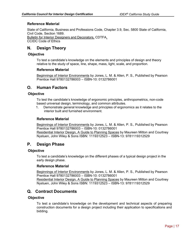#### **Reference Material**

State of California, Business and Professions Code, Chapter 3.9, Sec. 5800 State of California, Civil Code, Section 1689. Bulletin for Interior Designers and Decorators, CDTFA.

CCIDC Code of Ethics

# **N. Design Theory**

#### **Objective**

To test a candidate's knowledge on the elements and principles of design and theory relative to the study of space, line, shape, mass, light, scale, and proportion.

#### **Reference Material**

Beginnings of Interior Environments by Jones, L. M. & Allen, P. S., Published by Pearson Prentice Hall 9780132786003 – ISBN-10: 0132786001

# **O. Human Factors**

#### **Objective**

To test the candidate's knowledge of ergonomic principles, anthropometrics, non-code based universal design, terminology, and common attributes.

1. Demonstrate general knowledge and principles of ergonomics as it relates to the interior built and furnished environment.

#### **Reference Material**

Beginnings of Interior Environments by Jones, L. M. & Allen, P. S., Published by Pearson Prentice Hall 9780132786003 – ISBN-10: 0132786001 Residential Interior Design, A Guide to Planning Spaces by Maureen Mitton and Courtney Nystuen, John Wiley & Sons ISBN: 1119312523 – ISBN-13: 9781119312529

# **P. Design Phase**

#### **Objective**

To test a candidate's knowledge on the different phases of a typical design project in the early design phase.

#### **Reference Material**

Beginnings of Interior Environments by Jones, L. M. & Allen, P. S., Published by Pearson Prentice Hall 9780132786003 – ISBN-10: 0132786001 Residential Interior Design, A Guide to Planning Spaces by Maureen Mitton and Courtney Nystuen, John Wiley & Sons ISBN: 1119312523 – ISBN-13: 9781119312529

# **Q. Contract Documents**

#### **Objective**

To test a candidate's knowledge on the development and technical aspects of preparing construction documents for a design project including their application to specifications and bidding.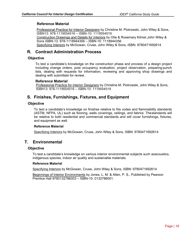#### **Reference Material**

Professional Practice for Interior Designers by Christine M. Piotrowski, John Wiley & Sons, ISBN13: 978-1119554516 – ISBN-10: 1119554519 Construction Drawings and Details for Interiors by Otie & Rosemary Kilmer, John Wiley & Sons ISBN-13: 978-1118944356 – ISBN-10: 1118944356

Specifying Interiors by McGowan, Cruse, John Wiley & Sons, ISBN: 9780471692614

# **R. Contract Administration Process**

#### **Objective**

To test a candidate's knowledge on the construction phase and process of a design project including change orders, post occupancy evaluation, project observation, preparing punch lists, dealing with requests for information, reviewing and approving shop drawings and dealing with submittals for review.

#### **Reference Material**

Professional Practice for Interior Designers by Christine M. Piotrowski, John Wiley & Sons, ISBN13: 978-1119554516 – ISBN-10: 1119554519

# **S. Finishes, Furnishings, Fixtures, and Equipment**

#### **Objective**

To test a candidate's knowledge on finishes relative to fire codes and flammability standards (ASTM, NFPA, UL) such as flooring, walls coverings, ceilings, and fabrics. The standards will be relative to both residential and commercial standards and will cover furnishings, fixtures, and equipment as well.

#### **Reference Material**

Specifying Interiors by McGowan, Cruse, John Wiley & Sons, ISBN: 9780471692614

# **T. Environmental**

#### **Objective**

To test a candidate's knowledge on various interior environmental subjects such as acoustics, indigenous species, indoor air quality and sustainable materials.

#### **Reference Material**

Specifying Interiors by McGowan, Cruse, John Wiley & Sons, ISBN: 9780471692614

Beginnings of Interior Environments by Jones, L. M. & Allen, P. S., Published by Pearson Prentice Hall 9780132786003 – ISBN-10: 0132786001.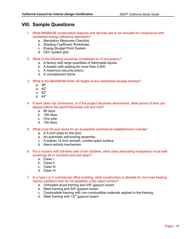# **VIII. Sample Questions**

- 1. What MINIMUM conservation features and devices are to be included for compliance with residential energy efficiency standards?
	- a. Mandatory Measures Checklist.
	- b. Shading Coefficient Worksheet.
	- c. Energy Budget Point System.
	- d. CEC system grid.
- 2. What of the following would be considered an H-occupancy?
	- a. A factory with large quantities of flammable liquids.
	- b. A theater with seating for more than 5,000.
	- c. A maximum-security prison.
	- d. A convalescent home.
- 3. What is the MAXIMUM finish sill height of any residential escape window?
	- a. 36"
	- b. 40"
	- c. 42"
	- d. 44"
- 4. If work does not commence, or if the project becomes abandoned, what period of time can elapse before the permit becomes null and void?
	- a. 90 days.
	- b. 180 days.
	- c. One year.
	- d. 120 days.
- 5. What must the exit doors for an accessible commercial establishment include?
	- a. A 5-inch plate on the door.
	- b. An automatic self-locking assembly.
	- c. A bottom 10-inch smooth, uninterrupted surface.
	- d. Alarm-activity mechanism.
- 6. For a nursery with full-time care of ten toddlers, what class (excluding exceptions) must wall coverings be in corridors and exit ways?
	- a. Class I.
	- b. Class II.
	- c. Class III.
	- d. Class IV.
- 7. In a type I or II commercial office building, what construction is allowed for non-load bearing interior partitions that do not establish a fire-rated corridor?
	- a. Untreated wood framing and 5/8" gypsum board.
	- b. Steel framing and 5/8" gypsum board.
	- c. Combustible framing with non-combustible materials applied to the framing.
	- d. Steel framing with 1/2" gypsum board.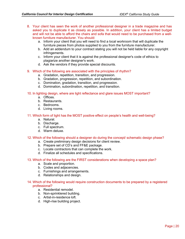- 8. Your client has seen the work of another professional designer in a trade magazine and has asked you to duplicate it as closely as possible. In addition, your client has a limited budget and will not be able to afford the chairs and sofa that would need to be purchased from a wellknown furniture manufacturer. You should:
	- a. Inform your client that you will need to find a local workroom that will duplicate the furniture pieces from photos supplied to you from the furniture manufacturer.
	- b. Add an addendum to your contract stating you will not be held liable for any copyright infringements.
	- c. Inform your client that it is against the professional designer's code of ethics to plagiarize another designer's work.
	- d. Ask the vendors if they provide special discounts.

#### 9. Which of the following are associated with the principles of rhythm?

- a. Gradation, repetition, transition, and progression.
- b. Gradation, progression, repetition, and subordination.
- c. Domination, gradation, transition, and progression.
- d. Domination, subordination, repetition, and transition.

#### 10. In lighting design, where are light reflectance and glare issues MOST important?

- a. Offices.
- b. Restaurants.
- c. Bedrooms.
- d. Living rooms.

#### 11. Which form of light has the MOST positive effect on people's health and well-being?

- a. Natural.
- b. Discharge.
- c. Full spectrum.
- d. Warm deluxe.

#### 12. Which of the following should a designer do during the concept/ schematic design phase?

- a. Create preliminary design decisions for client review.
- b. Prepare set of CD's and FF&E package.
- c. Locate contractors that can complete the work.
- d. Finalize all schedules and specifications.

#### 13. Which of the following are the FIRST considerations when developing a space plan?

- a. Scale and proportion.
- b. Codes and adjacencies.
- c. Furnishings and arrangements.
- d. Relationships and design.

#### 14. Which of the following would require construction documents to be prepared by a registered professional?

- a. Residential remodel.
- b. Non-sprinklered building.
- c. Artist-in-residence loft.
- d. High-rise building project.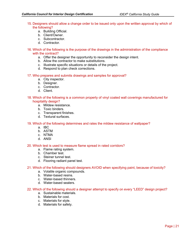- 15. Designers should allow a change order to be issued only upon the written approval by which of the following?
	- a. Building Official.
	- b. Client/Owner.
	- c. Subcontractor.
	- d. Contractor.
- 16. Which of the following is the purpose of the drawings in the administration of the compliance with the contract?
	- a. Offer the designer the opportunity to reconsider the design intent.
	- b. Allow the contractor to make substitutions.
	- c. Illustrate specific situations or details of the project.
	- d. Respond to plan check corrections.

#### 17. Who prepares and submits drawings and samples for approval?

- a. City inspector.
- b. Designer.
- c. Contractor.
- d. Client.
- 18. Which of the following is a common property of vinyl coated wall coverings manufactured for hospitality design?
	- a. Mildew resistance.
	- b. Toxic binders.
	- c. Transparent finishes.
	- d. Textural surfaces.

#### 19. Which of the following determines and rates the mildew resistance of wallpaper?

- a. IBC
- b. ASTM
- c. NTMA
- d. ANSI

#### 20. Which test is used to measure flame spread in rated corridors?

- a. Flame rating system.
- b. Chamber test.
- c. Steiner tunnel test.
- d. Flooring radiant panel test.

#### 21. Which of the following should designers AVOID when specifying paint, because of toxicity?

- a. Volatile organic compounds.
- b. Water-based resins.
- c. Water-based thinners.
- d. Water-based sealers.

#### 22. Which of the following should a designer attempt to specify on every "LEED" design project?

- a. Sustainable materials.
- b. Materials for cost.
- c. Materials for style.
- d. Materials for safety.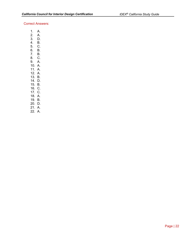#### Correct Answers:

- 1. A.
- 2. A. 3. D.
- 4. B.
- 5. C.
- 6. B.
- 7. B.
- 8. C.
- 9. A.
- 10. A.
- 11. A. 12. A.
- 13. B.
- 14. D.
- 15. B.
- 16. C.
- 17. C.
- 18. A.
- 19. B.
- 20. D.
- 21. A.
- 22. A.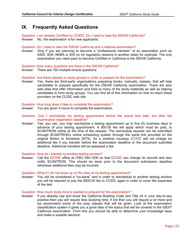# **IX. Frequently Asked Questions**

Question: I am already Certified by CCIDC. Do I need to take the IDEX® California? Answer: No, the examination is for new applicants.

Question: Do I need to take the IDEX® California and a national examination?

Answer: Only if you are planning to become a "professional member" of an association such as ASID, IIDA, NKBA or IDS (or for regulatory reasons in another state) for example. The only examination you need pass to become Certified in California is the IDEX® California.

Question: How many questions are there in the IDEX® California?

Answer: There are 150 multiple-choice questions.

Question: Are there classes or study groups in order to prepare for the examination?

Answer: Yes, there are third-party organizations preparing books, manuals, classes, that will help candidates to prepare specifically for the IDEX® California examination. There are also web sites that offer information and links to many of the study materials as well as helping candidates to form study groups. You can find all of this information on how to reach these providers on the CCIDC web site

Question: How long does it take to complete the examination?

- Answer: You are given 3 hours to complete the examination.
- Question: Can I reschedule my testing appointment before the actual test date, but after the examination registration deadline?
- Answer: Yes, you can, you may reschedule a testing appointment up to five (5) business days in advance of your testing appointment. A \$50.00 fee will apply which must be paid, to SCANTRON online at the time of the request. The reschedule request can be submitted through SCANTRON's online scheduling system through the same link provided on the original Notice to Schedule (NTS). As a onetime courtesy CCIDC will not charge an additional fee if you transfer before the examination deadline or the document submittal deadline. Additional transfers will be assessed a fee.

Question: How do I transfer to another testing window?

Answer: Call the CCIDC office at (760) 294-1936 so that CCIDC can change its records and also notify SCANTRON. This should be done prior to the document submission deadline otherwise additional fees may be incurred.

#### Question: What if I do not show up on the date of my testing appointment?

Answer: You will be considered a "no-show" and in order to reschedule to another testing window you will be required to pay the \$500.00 fee to CCIDC again in order to cover the expenses of the test.

#### Question: How much study time is needed to prepare for the examination?

Answer: If you already use and know the California Building Code and Title 24 in your day-to-day practice then you will require less studying time, if not then you will require a lot more and we recommend some of the prep classes that will be given. Look at the examination classification system it gives you a good idea of the topics that will be covered in the IDEX® California examination. From this you should be able to determine your knowledge base and make a suitable decision.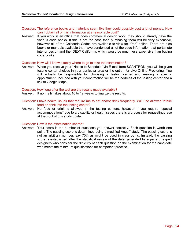#### Question: The reference books and materials seem like they could possibly cost a lot of money. How can I obtain all of this information at a reasonable cost?

Answer: If you work in an office that does commercial design work, they should already have the various code books. If this is not the case then purchasing them will be very expensive, however all of the California Codes are available to view for "free" online. There are also books or manuals available that have condensed all of the code information that pertains to interior design and the IDEX® California, which would be much less expensive than buying code books.

#### Question: How will I know exactly where to go to take the examination?

Answer: When you receive your "Notice to Schedule" via E-mail from SCANTRON, you will be given testing center choices in your particular area or the option for Live Online Proctoring. You will actually be responsible for choosing a testing center and making a specific appointment. Included with your confirmation will be the address of the testing center and a link to Google Maps.

#### Question: How long after the test are the results made available?

- Answer: It normally takes about 10 to 12 weeks to finalize the results.
- Question: I have health issues that require me to eat and/or drink frequently. Will I be allowed to take food or drink into the testing center?
- Answer: No food or drink is allowed in the testing centers, however if you require "special accommodations" due to a disability or health issues there is a process for requesting these at the front of this study guide.

#### Question: How is the examination scored?

Answer: Your score is the number of questions you answer correctly. Each question is worth one point. The passing score is determined using a modified Angoff study. The passing score is not an arbitrary number, say 70% as might be used in classrooms. Instead, the passing score is established after the statistical review of the data generated by a panel of expert designers who consider the difficulty of each question on the examination for the candidate who meets the minimum qualifications for competent practice.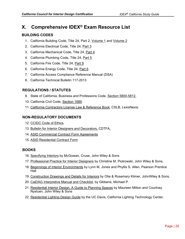# **X. Comprehensive IDEX® Exam Resource List**

#### **BUILDING CODES**

- 1. California Building Code, Title 24, Part 2, Volume 1 and Volume 2
- 2. California Electrical Code, Title 24, Part 3
- 3. California Mechanical Code, Title 24, Part 4
- 4. California Plumbing Code, Title 24, Part 5
- 5. California Fire Code, Title 24, Part 9
- 6. California Energy Code, Title 24, Part 6
- 7. California Access Compliance Reference Manual (DSA)
- 8. California Technical Bulletin 117-2013

#### **REGULATIONS / STATUTES**

- 9. State of California, Business and Professions Code, Section 5800-5812.
- 10. California Civil Code, Section 1689.
- 11. California Contractors License Law & Reference Book, CSLB, LexisNexis.

#### **NON-REGULATORY DOCUMENTS**

- 12. CCIDC Code of Ethics.
- 13. Bulletin for Interior Designers and Decorators, CDTFA.
- 14. ASID Commercial Contract Form Agreements
- 15. ASID Residential Contract Form

#### **BOOKS**

- 16. Specifying Interiors by McGowan, Cruse, John Wiley & Sons
- 17. Professional Practice for Interior Designers by Christine M. Piotrowski, John Wiley & Sons,
- 18. Beginnings of Interior Environments by Lynn M. Jones and Phyllis S. Allen, Pearson Prentice Hall
- 19. Construction Drawings and Details for Interiors by Otie & Rosemary Kilmer, John Wiley & Sons.
- 20. CalDAG Interpretive Manual and Checklist, by Gibbens, Michael P.
- 21. Residential Interior Design, A Guide to Planning Spaces by Maureen Mitton and Courtney Nystuen, John Wiley & Sons
- 22. Residential Lighting Design Guide by the UC Davis, California Lighting Technology Center.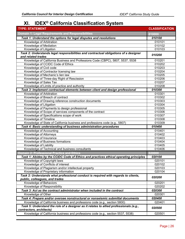# **XI. IDEX® California Classification System**

| <b>TYPE: STATEMENT</b>                                                                                                                                                                           | <b>CLASSIFICATION</b> |
|--------------------------------------------------------------------------------------------------------------------------------------------------------------------------------------------------|-----------------------|
| <b>Domain 1: Legal Requirements and Responsibilities</b>                                                                                                                                         | 010000                |
| Task 1: Understand the options for legal disputes and resolutions                                                                                                                                | 010100                |
| Knowledge of Arbitration                                                                                                                                                                         | 010101                |
| Knowledge of Mediation                                                                                                                                                                           | 010102                |
| Knowledge of Litigation                                                                                                                                                                          | 010103                |
| Task 2: Understands legal responsibilities and contractual obligations of a designer                                                                                                             |                       |
| and related trades                                                                                                                                                                               | 010200                |
| Knowledge of California Business and Professions Code (CBPC), 5807, 5537, 5538                                                                                                                   | 010201                |
| Knowledge of CCIDC Code of Ethics                                                                                                                                                                | 010202                |
| Knowledge of Civil code                                                                                                                                                                          | 010203                |
| Knowledge of Contractor licensing law                                                                                                                                                            | 010204                |
| Knowledge of Mechanic's lien law                                                                                                                                                                 | 010205                |
| Knowledge of Three-day Right of Rescission                                                                                                                                                       | 010206                |
| Knowledge of Sales Tax                                                                                                                                                                           | 010207                |
| Knowledge of Limits of practice and authority                                                                                                                                                    | 010208                |
| Task 3: Implement contractual elements between client and design professional                                                                                                                    | 010300                |
| Knowledge of Arbitration                                                                                                                                                                         | 010301                |
| Knowledge of Breach of contract                                                                                                                                                                  | 010302                |
| Knowledge of Drawing reference construction documents                                                                                                                                            | 010303                |
| Knowledge of Litigation                                                                                                                                                                          | 010304                |
| Knowledge of Payments to design professional                                                                                                                                                     | 010305                |
| Knowledge of Scope of services components of the contract                                                                                                                                        | 010306                |
| Knowledge of Specifications scope of work                                                                                                                                                        | 010307                |
| Knowledge of Timeline                                                                                                                                                                            | 010308                |
|                                                                                                                                                                                                  |                       |
| Knowledge of State of California business and professions code (e.g., 5807)                                                                                                                      | 010309                |
| Task 4: Basic understanding of business administration procedures                                                                                                                                | 010400                |
| Knowledge of Accounting                                                                                                                                                                          | 010401                |
| Knowledge of Attorneys                                                                                                                                                                           | 010402                |
| Knowledge of Insurance                                                                                                                                                                           | 010403                |
| Knowledge of Business formations                                                                                                                                                                 | 010404                |
| Knowledge of Liability                                                                                                                                                                           | 010405                |
| Knowledge of Technical and business consultants                                                                                                                                                  | 010406                |
| <b>Domain 2: Professional Practice and Ethics</b>                                                                                                                                                | 020000                |
| Task 1: Abides by the CCIDC Code of Ethics and practices ethical operating principles                                                                                                            | 020100                |
| Knowledge of Copyright laws                                                                                                                                                                      | 020101                |
| Knowledge of Conflicts of interest                                                                                                                                                               | 020102                |
| Knowledge of Plagiarism and/or intellectual property                                                                                                                                             | 020103                |
| Knowledge of Proprietary information                                                                                                                                                             | 020104                |
| Task 2: Understands what professional conduct is required with regards to clients,                                                                                                               | 020200                |
| public, colleagues, and trades                                                                                                                                                                   |                       |
| Knowledge of Behaviors                                                                                                                                                                           | 020201                |
| Knowledge of Responsibility                                                                                                                                                                      | 020202                |
| Task 3: Act as the contract administrator when included in the contract                                                                                                                          | 020300                |
| Knowledge of Other                                                                                                                                                                               | 020301                |
| Task 4: Prepare and/or oversee nonstructural or nonseismic submittal documents                                                                                                                   | 020400                |
| Knowledge of California business and professions code (e.g., section 5800)<br>Task 5: Understand the role of a designer as it relates to allied professionals (e.g.,<br>contractors, architects) | 020401<br>020500      |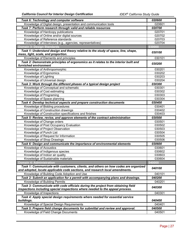| Task 6: Technology and computer software                                                                                                                           | 020600 |
|--------------------------------------------------------------------------------------------------------------------------------------------------------------------|--------|
| Knowledge of Digital design, presentation and communication tools                                                                                                  | 020601 |
| Task 7: Perform research through valid and reliable resources                                                                                                      | 020700 |
| Knowledge of Hardcopy publications                                                                                                                                 | 020701 |
| Knowledge of Online and/or digital sources                                                                                                                         | 020702 |
| Knowledge of Reference standards                                                                                                                                   | 020703 |
| Knowledge of Interviews (e.g., agencies, representatives)                                                                                                          | 020704 |
| Domain 3: Design Standards                                                                                                                                         | 030000 |
| Task 1: Understand design and theory relative to the study of space, line, shape,                                                                                  |        |
| mass, light, scale, and proportion.                                                                                                                                | 030100 |
| Knowledge of Elements and principles                                                                                                                               | 030101 |
| Task 2: Demonstrate principles of ergonomics as it relates to the interior built and                                                                               |        |
| furnished environment                                                                                                                                              | 030200 |
| Knowledge of Anthropomorphic                                                                                                                                       | 030201 |
| Knowledge of Ergonomics                                                                                                                                            | 030202 |
| Knowledge of Lighting                                                                                                                                              | 030203 |
| Knowledge of Universal design                                                                                                                                      | 030204 |
| Task 3: Work through the different phases of a typical design project                                                                                              | 030300 |
| Knowledge of Conceptual and schematic                                                                                                                              | 030301 |
| Knowledge of Cost estimating                                                                                                                                       | 030302 |
| Knowledge of Programing                                                                                                                                            | 030303 |
| Knowledge of Space planning                                                                                                                                        | 030304 |
| Task 4: Develop technical aspects and prepare construction documents                                                                                               | 030400 |
| Knowledge of Bidding procedures                                                                                                                                    | 030401 |
| Knowledge of Construction drawings                                                                                                                                 | 030402 |
|                                                                                                                                                                    |        |
| Knowledge of Construction specifications and finishes                                                                                                              | 030403 |
| Task 5: Review, revise, and approve elements of the contract administration                                                                                        | 030500 |
| Knowledge of Change orders                                                                                                                                         | 030501 |
| Knowledge of Post Occupancy Evaluation                                                                                                                             | 030502 |
| Knowledge of Project Observation                                                                                                                                   | 030503 |
| Knowledge of Punch List                                                                                                                                            | 030504 |
| Knowledge of Request for Information                                                                                                                               | 030505 |
| Knowledge of Shop Drawings                                                                                                                                         | 030506 |
| Task 6: Design and communicate the importance of environmental elements                                                                                            | 030600 |
| Knowledge of Acoustics                                                                                                                                             | 030601 |
| Knowledge of Indigenous species                                                                                                                                    | 030602 |
| Knowledge of Indoor air quality                                                                                                                                    | 030603 |
| Knowledge of Sustainable materials                                                                                                                                 | 030604 |
| <b>Domain 4: Administration</b>                                                                                                                                    | 040000 |
| Task 1: Communicate with customers, clients, and others on how codes are organized<br>and adopted, locate applicable code sections, and research local amendments. | 040100 |
| Knowledge of Building Code Adoption and Use                                                                                                                        | 040101 |
|                                                                                                                                                                    | 040200 |
| Task 2: Submit an application for a permit with accompanying plans and drawings.                                                                                   | 040201 |
| Knowledge of Building Permits                                                                                                                                      |        |
| Task 3: Communicate with code officials during the project from obtaining field                                                                                    | 040300 |
| inspections including special inspections where needed to the appeal process.                                                                                      | 040301 |
| Knowledge of Inspections                                                                                                                                           |        |
| Task 4: Apply special design requirements where needed for essential service<br>buildings.                                                                         | 040400 |
| Knowledge of Special Design Requirements                                                                                                                           | 040401 |
| Task 5: Prepare field change documents for submittal and review and approval.                                                                                      | 040500 |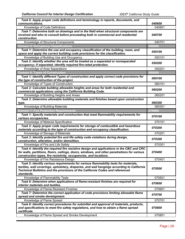| Task 6: Apply proper code definitions and terminology in reports, documents, and                                                                                                                                                                                                 |        |
|----------------------------------------------------------------------------------------------------------------------------------------------------------------------------------------------------------------------------------------------------------------------------------|--------|
| communications.                                                                                                                                                                                                                                                                  | 040600 |
| Knowledge of Code Definitions                                                                                                                                                                                                                                                    | 040601 |
| Task 7: Determine both on drawings and in the field when structural components are<br>involved and who to consult before proceeding both in commercial and residential<br>construction.                                                                                          | 040700 |
| Knowledge of Structural Components                                                                                                                                                                                                                                               | 040701 |
| <b>Domain 5: Occupancy Classifications</b>                                                                                                                                                                                                                                       | 050000 |
| Task 1: Determine the use and occupancy classification of the building, room, and<br>space and apply the correct building code provisions for the classification.                                                                                                                | 050100 |
| Knowledge of Building Use and Occupancy                                                                                                                                                                                                                                          | 050101 |
| Task 2: Identify whether the area will be treated as a separated or nonseparated<br>occupancy; if separated, identify required fire-rated protection.                                                                                                                            | 050200 |
| Knowledge of Area Separations                                                                                                                                                                                                                                                    | 050201 |
| <b>Domain 6: Types of Construction</b>                                                                                                                                                                                                                                           | 060000 |
| Task 1: Identify different Types of construction and apply correct code provisions for                                                                                                                                                                                           |        |
| the type of construction of the project.                                                                                                                                                                                                                                         | 060100 |
| Knowledge of Types of Construction                                                                                                                                                                                                                                               | 060101 |
| Task 2: Calculate building allowable heights and areas for both residential and<br>commercial applications using the California Building Code.                                                                                                                                   | 060200 |
| Knowledge of Building Heights and Areas                                                                                                                                                                                                                                          | 060201 |
| Task 3: Determine allowable building materials and finishes based upon construction                                                                                                                                                                                              |        |
| type.                                                                                                                                                                                                                                                                            | 060300 |
| Knowledge of Building Materials                                                                                                                                                                                                                                                  | 060301 |
| <b>Domain 7: Fire Protection Requirements</b>                                                                                                                                                                                                                                    | 070000 |
| Task 1: Specify materials and construction that meet flammability requirements for<br>various occupancies.                                                                                                                                                                       | 070100 |
| Knowledge of Material Specification                                                                                                                                                                                                                                              | 070101 |
| Task 2: Apply proper code requirements for storage of combustible and hazardous                                                                                                                                                                                                  | 070200 |
| materials according to the type of construction and occupancy classification.                                                                                                                                                                                                    |        |
| Knowledge of Storage of Materials                                                                                                                                                                                                                                                | 070201 |
| Task 3: Identify potential fire and life safety code violations during design,<br>construction, alteration, and/or demolition.                                                                                                                                                   | 070300 |
| Knowledge of Fire and Life Safety                                                                                                                                                                                                                                                | 070301 |
| Task 4: Identify the required fire resistive design and applications in the CBC and CRC<br>for walls, partitions, floors, ceilings, doors, windows, and other penetrations for various<br>construction types, fire resistivity, occupancies, and locations.                      | 070400 |
| Knowledge of Fire Resistance Design                                                                                                                                                                                                                                              | 070401 |
| Task 5: Identify various requirements for various flammability tests for materials,<br>textiles, wall coverings, upholstery, draperies, and wall hangings according to California<br>Technical Bulletins and the provisions of the California Codes and referenced<br>standards. | 070500 |
| Knowledge of Flammability Tests                                                                                                                                                                                                                                                  | 070501 |
| Task 6: Determine when applications of flame-resistant finishes are required for<br>interior materials and textiles.                                                                                                                                                             | 070600 |
| Knowledge of Flame-Resistant Finishes                                                                                                                                                                                                                                            | 070601 |
| Task 7: Determine the correct application of code provisions limiting allowable flame<br>spread and smoke development.                                                                                                                                                           | 070700 |
| Knowledge of Flame Spread                                                                                                                                                                                                                                                        | 070701 |
| Task 8: Identify correct procedures for submittal and approval of materials, products,<br>and specifications to meet fire safety regulations, and how to obtain a flame spread<br>certificate.                                                                                   | 070800 |
| Knowledge of Flame Spread and Smoke Development                                                                                                                                                                                                                                  | 070801 |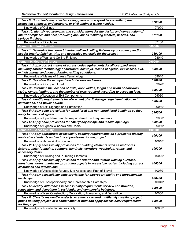| Task 9: Coordinate the reflected ceiling plans with a sprinkler consultant, fire<br>protection engineer, and structural or civil engineer where needed.                       | 070900 |
|-------------------------------------------------------------------------------------------------------------------------------------------------------------------------------|--------|
| Knowledge of Ceilings                                                                                                                                                         | 070901 |
| Task 10: Identify requirements and considerations for the design and construction of<br>interior fireplaces and heat producing appliances including mantels, hearths, and     | 071000 |
| surface finishes.                                                                                                                                                             |        |
| Knowledge of Fireplaces                                                                                                                                                       | 071001 |
| <b>Domain 8: Interior Finish</b>                                                                                                                                              | 080000 |
| Task 1: Determine the correct interior wall and ceiling finishes by occupancy and/or<br>use for interior finishes, trim, and decorative materials for the project.            | 080100 |
| Knowledge of Wall and Ceiling Finishes                                                                                                                                        | 080101 |
| <b>Domain 9: Means of Egress</b>                                                                                                                                              | 090000 |
| Task 1: Apply correct means of egress code requirements for all occupied areas                                                                                                |        |
| including correct terminology of corridors, hallways, means of egress, exit access, exit,                                                                                     | 090100 |
| exit discharge, and nonconforming exiting conditions.                                                                                                                         |        |
| Knowledge of Means of Egress Terminology                                                                                                                                      | 090101 |
| Task 2: Calculate the occupant load of rooms and areas.                                                                                                                       | 090200 |
| Knowledge of Occupant Load                                                                                                                                                    | 090201 |
| Task 3: Determine the location of exits, door widths, length and width of corridors,<br>stairs, ramps, landings, and the number of exits required according to occupant load. | 090300 |
| Knowledge of Location of Exit Components                                                                                                                                      | 090301 |
| Task 4: Identify requirements for placement of exit signage, sign illumination, exit<br>illumination, and power source.                                                       | 090400 |
| Knowledge of Exit Signage and Illumination                                                                                                                                    | 090401 |
| Task 5: Apply code provisions for sprinklered and non-sprinklered buildings as they<br>apply to means of egress.                                                              | 090500 |
| Knowledge of Sprinklered and Non-sprinklered Exit Requirements                                                                                                                | 090501 |
| Task 6: Apply code provisions for emergency escape and rescue openings.                                                                                                       | 090600 |
| Knowledge of Egress Windows and Doors                                                                                                                                         | 090601 |
| <b>Domain 10: Accessibility</b>                                                                                                                                               | 100000 |
| Task 1: Apply appropriate accessibility scoping requirements on a project to identify                                                                                         |        |
| applicable standards and technical provisions for the project.                                                                                                                | 100100 |
| Knowledge of Accessibility Scoping                                                                                                                                            | 100101 |
| Task 2: Apply accessibility provisions for building elements such as restrooms,                                                                                               |        |
| fixtures, water fountains, counters, handrails, corridors, vestibules, ramps, and                                                                                             | 100200 |
| accessory items.                                                                                                                                                              |        |
| Knowledge of Building and Plumbing Elements                                                                                                                                   | 100201 |
| Task 3: Apply accessibility provisions for exterior and interior walking surfaces,                                                                                            |        |
| thresholds, doors, hardware, protruding objects in accessible routes, including correct                                                                                       | 100300 |
| clearances and dimensions.                                                                                                                                                    |        |
| Knowledge of Accessible Routes, Site Access, and Path of Travel                                                                                                               | 100301 |
| Task 4: Apply accessibility code provisions for disproportionality and unreasonable                                                                                           | 100400 |
| hardships.<br>Knowledge of Disproportionality and Unreasonable Hardships                                                                                                      | 100401 |
| Task 5: Identify differences in accessibility requirements for new construction,                                                                                              |        |
| renovation, and demolition in residential and commercial buildings.                                                                                                           | 100500 |
| Knowledge of New Construction, Renovation, Alterations, and Demolition                                                                                                        | 100501 |
| Task 6: Classify residential projects as either a covered multifamily dwelling project,                                                                                       |        |
| public housing project, or a combination of both and apply accessibility requirements<br>for the project.                                                                     | 100600 |
| Knowledge of Residential Accessibility                                                                                                                                        | 100601 |